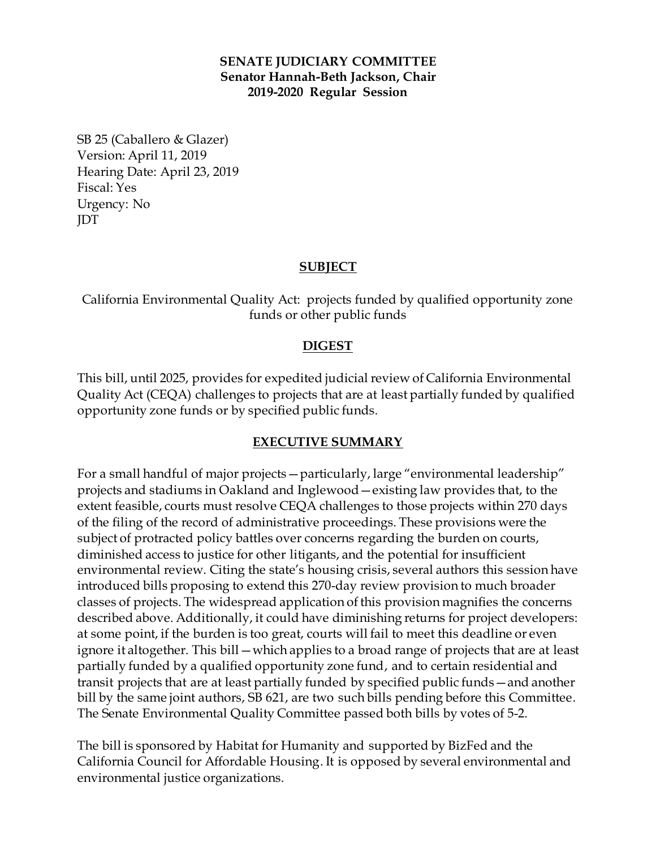#### **SENATE JUDICIARY COMMITTEE Senator Hannah-Beth Jackson, Chair 2019-2020 Regular Session**

SB 25 (Caballero & Glazer) Version: April 11, 2019 Hearing Date: April 23, 2019 Fiscal: Yes Urgency: No JDT

### **SUBJECT**

California Environmental Quality Act: projects funded by qualified opportunity zone funds or other public funds

#### **DIGEST**

This bill, until 2025, provides for expedited judicial review of California Environmental Quality Act (CEQA) challenges to projects that are at least partially funded by qualified opportunity zone funds or by specified public funds.

#### **EXECUTIVE SUMMARY**

For a small handful of major projects—particularly, large "environmental leadership" projects and stadiums in Oakland and Inglewood—existing law provides that, to the extent feasible, courts must resolve CEQA challenges to those projects within 270 days of the filing of the record of administrative proceedings. These provisions were the subject of protracted policy battles over concerns regarding the burden on courts, diminished access to justice for other litigants, and the potential for insufficient environmental review. Citing the state's housing crisis, several authors this session have introduced bills proposing to extend this 270-day review provision to much broader classes of projects. The widespread application of this provision magnifies the concerns described above. Additionally, it could have diminishing returns for project developers: at some point, if the burden is too great, courts will fail to meet this deadline or even ignore it altogether. This bill—which applies to a broad range of projects that are at least partially funded by a qualified opportunity zone fund, and to certain residential and transit projects that are at least partially funded by specified public funds—and another bill by the same joint authors, SB 621, are two such bills pending before this Committee. The Senate Environmental Quality Committee passed both bills by votes of 5-2.

The bill is sponsored by Habitat for Humanity and supported by BizFed and the California Council for Affordable Housing. It is opposed by several environmental and environmental justice organizations.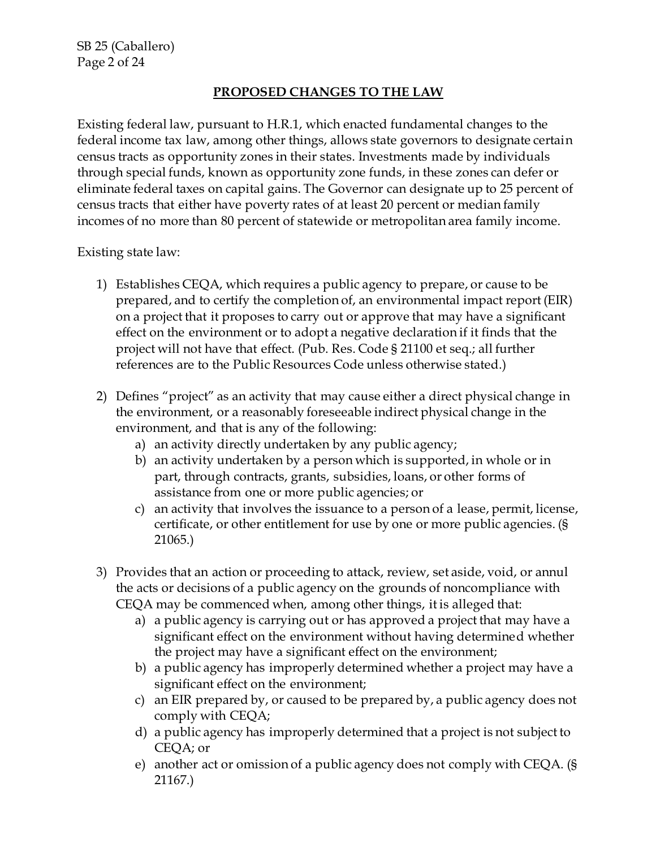# **PROPOSED CHANGES TO THE LAW**

Existing federal law, pursuant to H.R.1, which enacted fundamental changes to the federal income tax law, among other things, allows state governors to designate certain census tracts as opportunity zones in their states. Investments made by individuals through special funds, known as opportunity zone funds, in these zones can defer or eliminate federal taxes on capital gains. The Governor can designate up to 25 percent of census tracts that either have poverty rates of at least 20 percent or median family incomes of no more than 80 percent of statewide or metropolitan area family income.

Existing state law:

- 1) Establishes CEQA, which requires a public agency to prepare, or cause to be prepared, and to certify the completion of, an environmental impact report (EIR) on a project that it proposes to carry out or approve that may have a significant effect on the environment or to adopt a negative declaration if it finds that the project will not have that effect. (Pub. Res. Code § 21100 et seq.; all further references are to the Public Resources Code unless otherwise stated.)
- 2) Defines "project" as an activity that may cause either a direct physical change in the environment, or a reasonably foreseeable indirect physical change in the environment, and that is any of the following:
	- a) an activity directly undertaken by any public agency;
	- b) an activity undertaken by a person which is supported, in whole or in part, through contracts, grants, subsidies, loans, or other forms of assistance from one or more public agencies; or
	- c) an activity that involves the issuance to a person of a lease, permit, license, certificate, or other entitlement for use by one or more public agencies. (§ 21065.)
- 3) Provides that an action or proceeding to attack, review, set aside, void, or annul the acts or decisions of a public agency on the grounds of noncompliance with CEQA may be commenced when, among other things, it is alleged that:
	- a) a public agency is carrying out or has approved a project that may have a significant effect on the environment without having determined whether the project may have a significant effect on the environment;
	- b) a public agency has improperly determined whether a project may have a significant effect on the environment;
	- c) an EIR prepared by, or caused to be prepared by, a public agency does not comply with CEQA;
	- d) a public agency has improperly determined that a project is not subject to CEQA; or
	- e) another act or omission of a public agency does not comply with CEQA. (§ 21167.)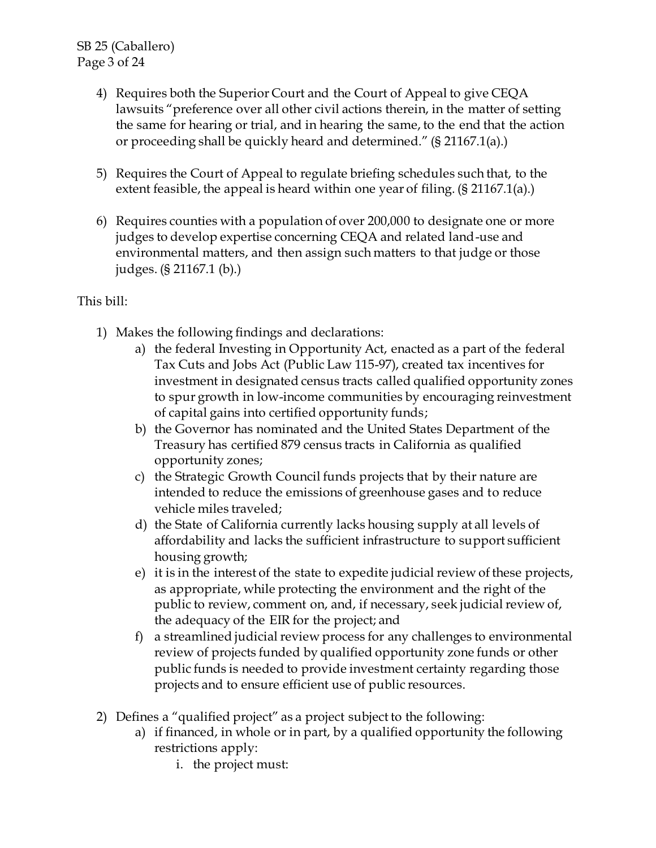- 4) Requires both the Superior Court and the Court of Appeal to give CEQA lawsuits "preference over all other civil actions therein, in the matter of setting the same for hearing or trial, and in hearing the same, to the end that the action or proceeding shall be quickly heard and determined." (§ 21167.1(a).)
- 5) Requires the Court of Appeal to regulate briefing schedules such that, to the extent feasible, the appeal is heard within one year of filing. (§ 21167.1(a).)
- 6) Requires counties with a population of over 200,000 to designate one or more judges to develop expertise concerning CEQA and related land-use and environmental matters, and then assign such matters to that judge or those judges. (§ 21167.1 (b).)

# This bill:

- 1) Makes the following findings and declarations:
	- a) the federal Investing in Opportunity Act, enacted as a part of the federal Tax Cuts and Jobs Act (Public Law 115-97), created tax incentives for investment in designated census tracts called qualified opportunity zones to spur growth in low-income communities by encouraging reinvestment of capital gains into certified opportunity funds;
	- b) the Governor has nominated and the United States Department of the Treasury has certified 879 census tracts in California as qualified opportunity zones;
	- c) the Strategic Growth Council funds projects that by their nature are intended to reduce the emissions of greenhouse gases and to reduce vehicle miles traveled;
	- d) the State of California currently lacks housing supply at all levels of affordability and lacks the sufficient infrastructure to support sufficient housing growth;
	- e) it is in the interest of the state to expedite judicial review of these projects, as appropriate, while protecting the environment and the right of the public to review, comment on, and, if necessary, seek judicial review of, the adequacy of the EIR for the project; and
	- f) a streamlined judicial review process for any challenges to environmental review of projects funded by qualified opportunity zone funds or other public funds is needed to provide investment certainty regarding those projects and to ensure efficient use of public resources.
- 2) Defines a "qualified project" as a project subject to the following:
	- a) if financed, in whole or in part, by a qualified opportunity the following restrictions apply:
		- i. the project must: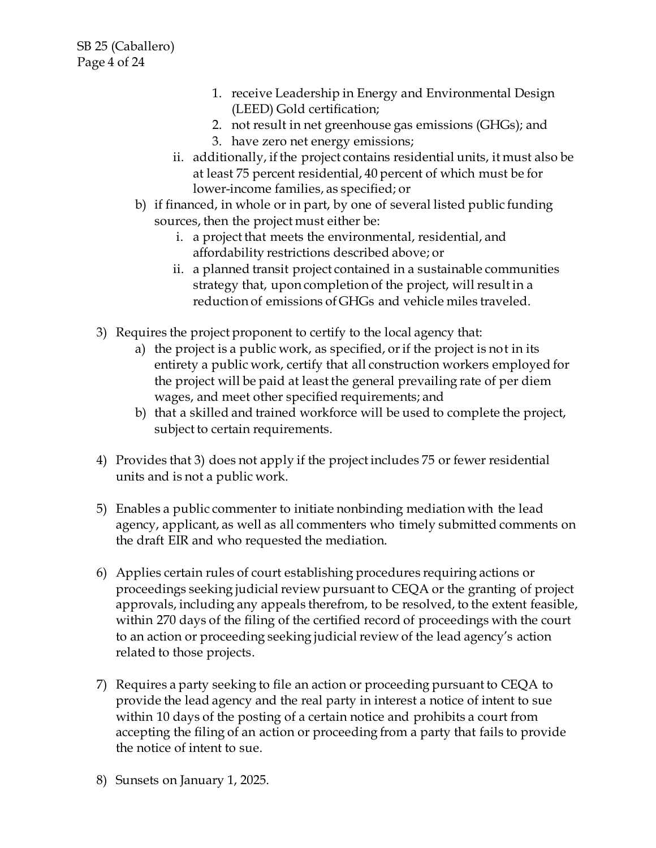- 1. receive Leadership in Energy and Environmental Design (LEED) Gold certification;
- 2. not result in net greenhouse gas emissions (GHGs); and
- 3. have zero net energy emissions;
- ii. additionally, if the project contains residential units, it must also be at least 75 percent residential, 40 percent of which must be for lower-income families, as specified; or
- b) if financed, in whole or in part, by one of several listed public funding sources, then the project must either be:
	- i. a project that meets the environmental, residential, and affordability restrictions described above; or
	- ii. a planned transit project contained in a sustainable communities strategy that, upon completion of the project, will result in a reduction of emissions of GHGs and vehicle miles traveled.
- 3) Requires the project proponent to certify to the local agency that:
	- a) the project is a public work, as specified, or if the project is not in its entirety a public work, certify that all construction workers employed for the project will be paid at least the general prevailing rate of per diem wages, and meet other specified requirements; and
	- b) that a skilled and trained workforce will be used to complete the project, subject to certain requirements.
- 4) Provides that 3) does not apply if the project includes 75 or fewer residential units and is not a public work.
- 5) Enables a public commenter to initiate nonbinding mediation with the lead agency, applicant, as well as all commenters who timely submitted comments on the draft EIR and who requested the mediation.
- 6) Applies certain rules of court establishing procedures requiring actions or proceedings seeking judicial review pursuant to CEQA or the granting of project approvals, including any appeals therefrom, to be resolved, to the extent feasible, within 270 days of the filing of the certified record of proceedings with the court to an action or proceeding seeking judicial review of the lead agency's action related to those projects.
- 7) Requires a party seeking to file an action or proceeding pursuant to CEQA to provide the lead agency and the real party in interest a notice of intent to sue within 10 days of the posting of a certain notice and prohibits a court from accepting the filing of an action or proceeding from a party that fails to provide the notice of intent to sue.
- 8) Sunsets on January 1, 2025.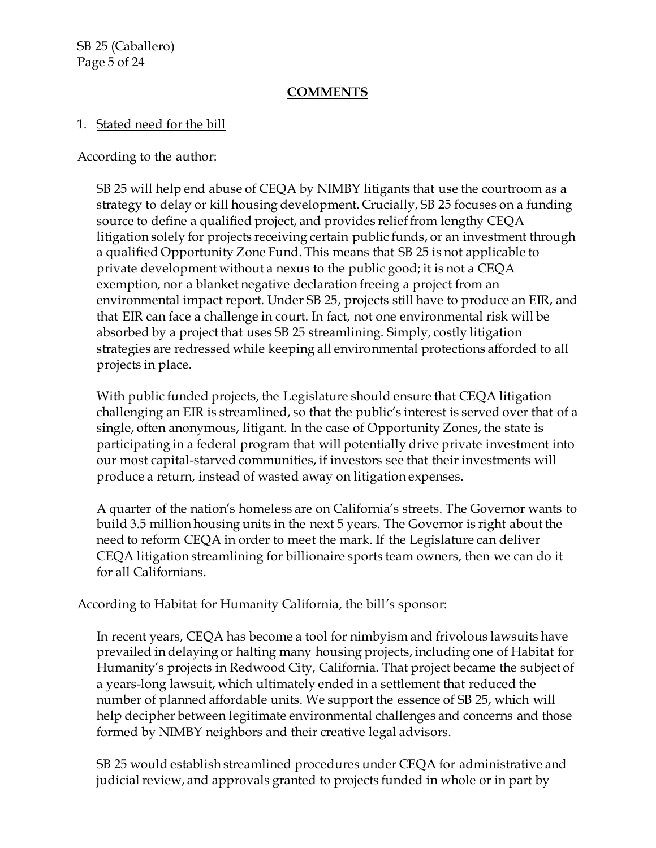SB 25 (Caballero) Page 5 of 24

### **COMMENTS**

### 1. Stated need for the bill

According to the author:

SB 25 will help end abuse of CEQA by NIMBY litigants that use the courtroom as a strategy to delay or kill housing development. Crucially, SB 25 focuses on a funding source to define a qualified project, and provides relief from lengthy CEQA litigation solely for projects receiving certain public funds, or an investment through a qualified Opportunity Zone Fund. This means that SB 25 is not applicable to private development without a nexus to the public good; it is not a CEQA exemption, nor a blanket negative declaration freeing a project from an environmental impact report. Under SB 25, projects still have to produce an EIR, and that EIR can face a challenge in court. In fact, not one environmental risk will be absorbed by a project that uses SB 25 streamlining. Simply, costly litigation strategies are redressed while keeping all environmental protections afforded to all projects in place.

With public funded projects, the Legislature should ensure that CEQA litigation challenging an EIR is streamlined, so that the public's interest is served over that of a single, often anonymous, litigant. In the case of Opportunity Zones, the state is participating in a federal program that will potentially drive private investment into our most capital-starved communities, if investors see that their investments will produce a return, instead of wasted away on litigation expenses.

A quarter of the nation's homeless are on California's streets. The Governor wants to build 3.5 million housing units in the next 5 years. The Governor is right about the need to reform CEQA in order to meet the mark. If the Legislature can deliver CEQA litigation streamlining for billionaire sports team owners, then we can do it for all Californians.

According to Habitat for Humanity California, the bill's sponsor:

In recent years, CEQA has become a tool for nimbyism and frivolous lawsuits have prevailed in delaying or halting many housing projects, including one of Habitat for Humanity's projects in Redwood City, California. That project became the subject of a years-long lawsuit, which ultimately ended in a settlement that reduced the number of planned affordable units. We support the essence of SB 25, which will help decipher between legitimate environmental challenges and concerns and those formed by NIMBY neighbors and their creative legal advisors.

SB 25 would establish streamlined procedures under CEQA for administrative and judicial review, and approvals granted to projects funded in whole or in part by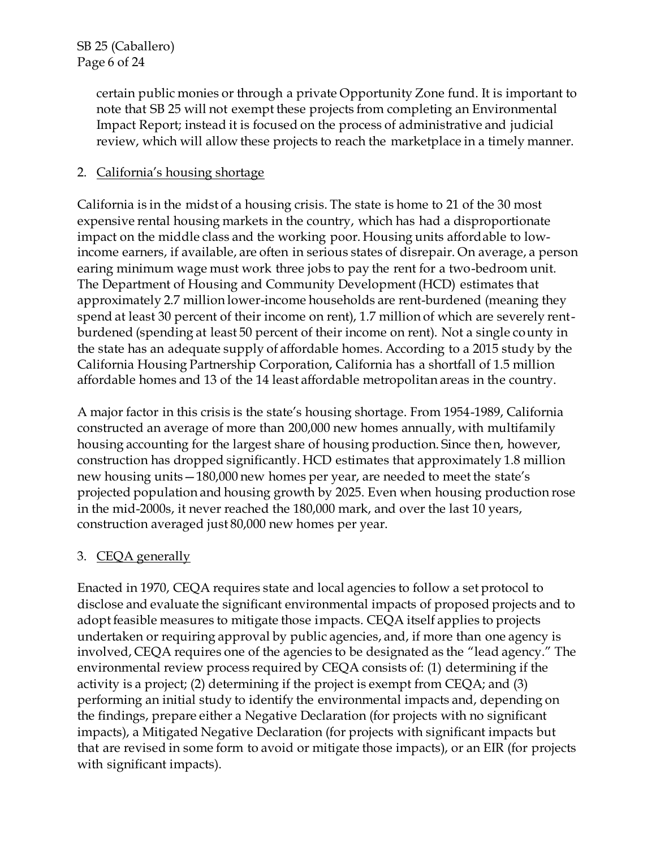certain public monies or through a private Opportunity Zone fund. It is important to note that SB 25 will not exempt these projects from completing an Environmental Impact Report; instead it is focused on the process of administrative and judicial review, which will allow these projects to reach the marketplace in a timely manner.

## 2. California's housing shortage

California is in the midst of a housing crisis. The state is home to 21 of the 30 most expensive rental housing markets in the country, which has had a disproportionate impact on the middle class and the working poor. Housing units affordable to lowincome earners, if available, are often in serious states of disrepair. On average, a person earing minimum wage must work three jobs to pay the rent for a two-bedroom unit. The Department of Housing and Community Development (HCD) estimates that approximately 2.7 million lower-income households are rent-burdened (meaning they spend at least 30 percent of their income on rent), 1.7 million of which are severely rentburdened (spending at least 50 percent of their income on rent). Not a single county in the state has an adequate supply of affordable homes. According to a 2015 study by the California Housing Partnership Corporation, California has a shortfall of 1.5 million affordable homes and 13 of the 14 least affordable metropolitan areas in the country.

A major factor in this crisis is the state's housing shortage. From 1954-1989, California constructed an average of more than 200,000 new homes annually, with multifamily housing accounting for the largest share of housing production. Since then, however, construction has dropped significantly. HCD estimates that approximately 1.8 million new housing units—180,000 new homes per year, are needed to meet the state's projected population and housing growth by 2025. Even when housing production rose in the mid-2000s, it never reached the 180,000 mark, and over the last 10 years, construction averaged just 80,000 new homes per year.

### 3. CEQA generally

Enacted in 1970, CEQA requires state and local agencies to follow a set protocol to disclose and evaluate the significant environmental impacts of proposed projects and to adopt feasible measures to mitigate those impacts. CEQA itself applies to projects undertaken or requiring approval by public agencies, and, if more than one agency is involved, CEQA requires one of the agencies to be designated as the "lead agency." The environmental review process required by CEQA consists of: (1) determining if the activity is a project; (2) determining if the project is exempt from CEQA; and (3) performing an initial study to identify the environmental impacts and, depending on the findings, prepare either a Negative Declaration (for projects with no significant impacts), a Mitigated Negative Declaration (for projects with significant impacts but that are revised in some form to avoid or mitigate those impacts), or an EIR (for projects with significant impacts).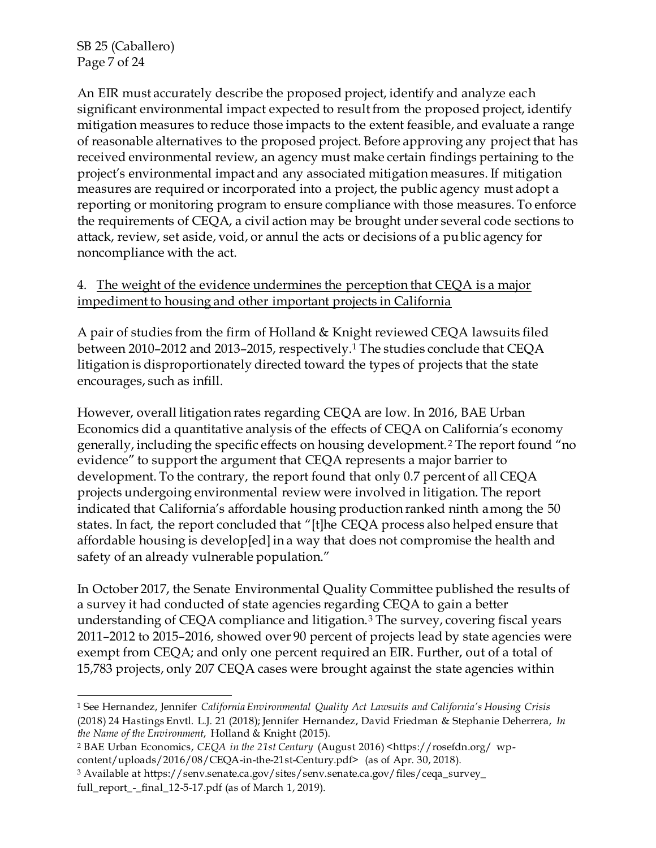SB 25 (Caballero) Page 7 of 24

An EIR must accurately describe the proposed project, identify and analyze each significant environmental impact expected to result from the proposed project, identify mitigation measures to reduce those impacts to the extent feasible, and evaluate a range of reasonable alternatives to the proposed project. Before approving any project that has received environmental review, an agency must make certain findings pertaining to the project's environmental impact and any associated mitigation measures. If mitigation measures are required or incorporated into a project, the public agency must adopt a reporting or monitoring program to ensure compliance with those measures. To enforce the requirements of CEQA, a civil action may be brought under several code sections to attack, review, set aside, void, or annul the acts or decisions of a public agency for noncompliance with the act.

## 4. The weight of the evidence undermines the perception that CEQA is a major impediment to housing and other important projects in California

A pair of studies from the firm of Holland & Knight reviewed CEQA lawsuits filed between 2010–2012 and 2013–2015, respectively.<sup>1</sup> The studies conclude that CEQA litigation is disproportionately directed toward the types of projects that the state encourages, such as infill.

However, overall litigation rates regarding CEQA are low. In 2016, BAE Urban Economics did a quantitative analysis of the effects of CEQA on California's economy generally, including the specific effects on housing development.<sup>2</sup> The report found "no evidence" to support the argument that CEQA represents a major barrier to development. To the contrary, the report found that only 0.7 percent of all CEQA projects undergoing environmental review were involved in litigation. The report indicated that California's affordable housing production ranked ninth among the 50 states. In fact, the report concluded that "[t]he CEQA process also helped ensure that affordable housing is develop[ed] in a way that does not compromise the health and safety of an already vulnerable population."

In October 2017, the Senate Environmental Quality Committee published the results of a survey it had conducted of state agencies regarding CEQA to gain a better understanding of CEQA compliance and litigation.<sup>3</sup> The survey, covering fiscal years 2011–2012 to 2015–2016, showed over 90 percent of projects lead by state agencies were exempt from CEQA; and only one percent required an EIR. Further, out of a total of 15,783 projects, only 207 CEQA cases were brought against the state agencies within

 <sup>1</sup> See Hernandez, Jennifer *California Environmental Quality Act Lawsuits and California's Housing Crisis*  (2018) 24 Hastings Envtl. L.J. 21 (2018); Jennifer Hernandez, David Friedman & Stephanie Deherrera, *In the Name of the Environment*, Holland & Knight (2015).

<sup>&</sup>lt;sup>2</sup> BAE Urban Economics, *CEQA in the 21st Century* (August 2016) <https://rosefdn.org/ wpcontent/uploads/2016/08/CEQA-in-the-21st-Century.pdf> (as of Apr. 30, 2018).

<sup>3</sup> Available at https://senv.senate.ca.gov/sites/senv.senate.ca.gov/files/ceqa\_survey\_ full\_report\_-\_final\_12-5-17.pdf (as of March 1, 2019).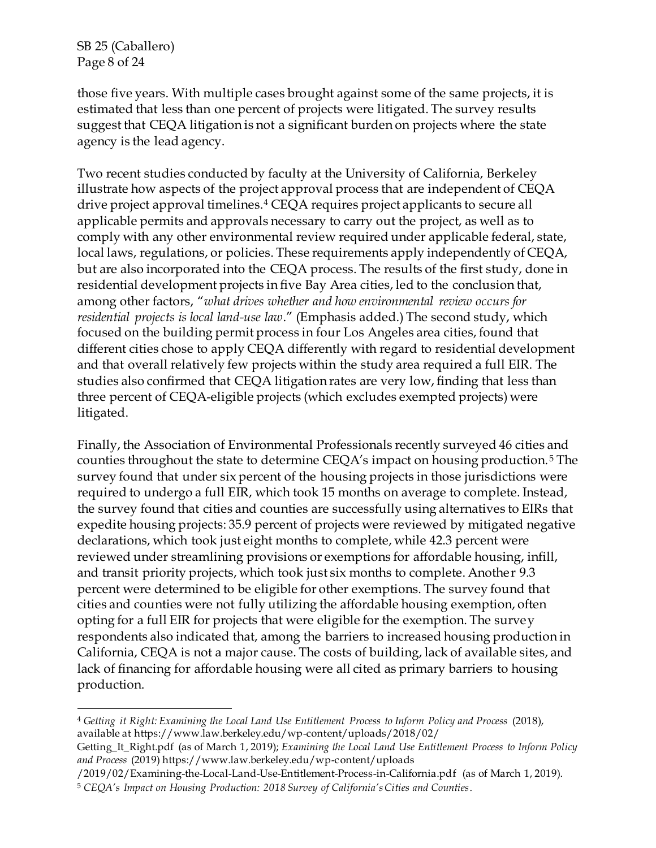SB 25 (Caballero) Page 8 of 24

those five years. With multiple cases brought against some of the same projects, it is estimated that less than one percent of projects were litigated. The survey results suggest that CEQA litigation is not a significant burden on projects where the state agency is the lead agency.

Two recent studies conducted by faculty at the University of California, Berkeley illustrate how aspects of the project approval process that are independent of CEQA drive project approval timelines.<sup>4</sup> CEQA requires project applicants to secure all applicable permits and approvals necessary to carry out the project, as well as to comply with any other environmental review required under applicable federal, state, local laws, regulations, or policies. These requirements apply independently of CEQA, but are also incorporated into the CEQA process. The results of the first study, done in residential development projects in five Bay Area cities, led to the conclusion that, among other factors, "*what drives whether and how environmental review occurs for residential projects is local land-use law*." (Emphasis added.) The second study, which focused on the building permit process in four Los Angeles area cities, found that different cities chose to apply CEQA differently with regard to residential development and that overall relatively few projects within the study area required a full EIR. The studies also confirmed that CEQA litigation rates are very low, finding that less than three percent of CEQA-eligible projects (which excludes exempted projects) were litigated.

Finally, the Association of Environmental Professionals recently surveyed 46 cities and counties throughout the state to determine CEQA's impact on housing production. <sup>5</sup> The survey found that under six percent of the housing projects in those jurisdictions were required to undergo a full EIR, which took 15 months on average to complete. Instead, the survey found that cities and counties are successfully using alternatives to EIRs that expedite housing projects: 35.9 percent of projects were reviewed by mitigated negative declarations, which took just eight months to complete, while 42.3 percent were reviewed under streamlining provisions or exemptions for affordable housing, infill, and transit priority projects, which took just six months to complete. Another 9.3 percent were determined to be eligible for other exemptions. The survey found that cities and counties were not fully utilizing the affordable housing exemption, often opting for a full EIR for projects that were eligible for the exemption. The survey respondents also indicated that, among the barriers to increased housing production in California, CEQA is not a major cause. The costs of building, lack of available sites, and lack of financing for affordable housing were all cited as primary barriers to housing production.

<sup>4</sup> *Getting it Right: Examining the Local Land Use Entitlement Process to Inform Policy and Process* (2018), available at https://www.law.berkeley.edu/wp-content/uploads/2018/02/

Getting\_It\_Right.pdf (as of March 1, 2019); *Examining the Local Land Use Entitlement Process to Inform Policy and Process* (2019) https://www.law.berkeley.edu/wp-content/uploads

<sup>/2019/02/</sup>Examining-the-Local-Land-Use-Entitlement-Process-in-California.pdf (as of March 1, 2019).

<sup>5</sup> *CEQA's Impact on Housing Production: 2018 Survey of California's Cities and Counties*.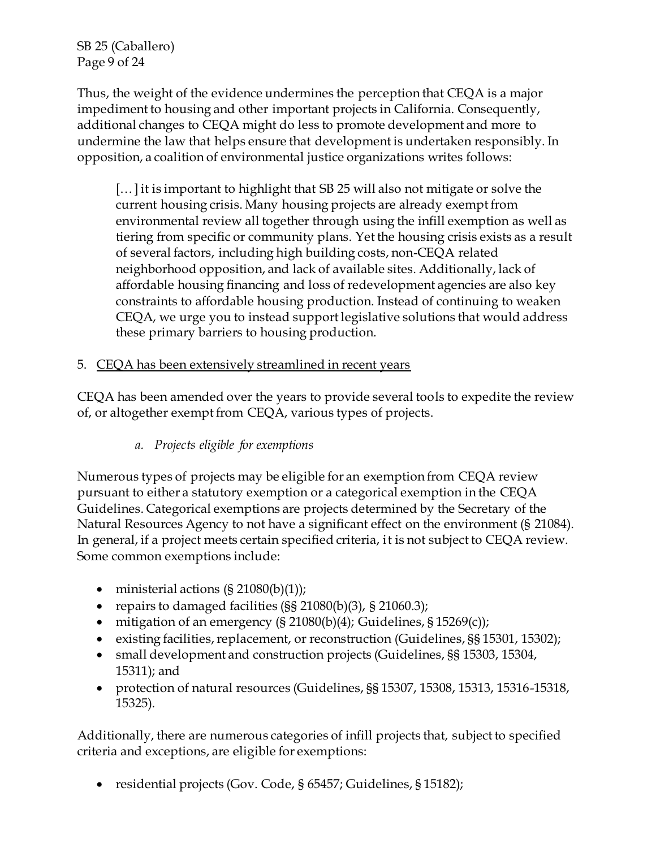SB 25 (Caballero) Page 9 of 24

Thus, the weight of the evidence undermines the perception that CEQA is a major impediment to housing and other important projects in California. Consequently, additional changes to CEQA might do less to promote development and more to undermine the law that helps ensure that development is undertaken responsibly. In opposition, a coalition of environmental justice organizations writes follows:

[… ] it is important to highlight that SB 25 will also not mitigate or solve the current housing crisis. Many housing projects are already exempt from environmental review all together through using the infill exemption as well as tiering from specific or community plans. Yet the housing crisis exists as a result of several factors, including high building costs, non-CEQA related neighborhood opposition, and lack of available sites. Additionally, lack of affordable housing financing and loss of redevelopment agencies are also key constraints to affordable housing production. Instead of continuing to weaken CEQA, we urge you to instead support legislative solutions that would address these primary barriers to housing production.

### 5. CEQA has been extensively streamlined in recent years

CEQA has been amended over the years to provide several tools to expedite the review of, or altogether exempt from CEQA, various types of projects.

# *a. Projects eligible for exemptions*

Numerous types of projects may be eligible for an exemption from CEQA review pursuant to either a statutory exemption or a categorical exemption in the CEQA Guidelines. Categorical exemptions are projects determined by the Secretary of the Natural Resources Agency to not have a significant effect on the environment (§ 21084). In general, if a project meets certain specified criteria, it is not subject to CEQA review. Some common exemptions include:

- ministerial actions  $(\S 21080(b)(1))$ ;
- repairs to damaged facilities  $(S\ S 21080(b)(3), S 21060.3);$
- ighthroups mitigation of an emergency  $(S 21080(b)(4))$ ; Guidelines,  $S 15269(c)$ );
- existing facilities, replacement, or reconstruction (Guidelines, §§ 15301, 15302);
- small development and construction projects (Guidelines, §§ 15303, 15304, 15311); and
- protection of natural resources (Guidelines, §§ 15307, 15308, 15313, 15316-15318, 15325).

Additionally, there are numerous categories of infill projects that, subject to specified criteria and exceptions, are eligible for exemptions:

residential projects (Gov. Code, § 65457; Guidelines, § 15182);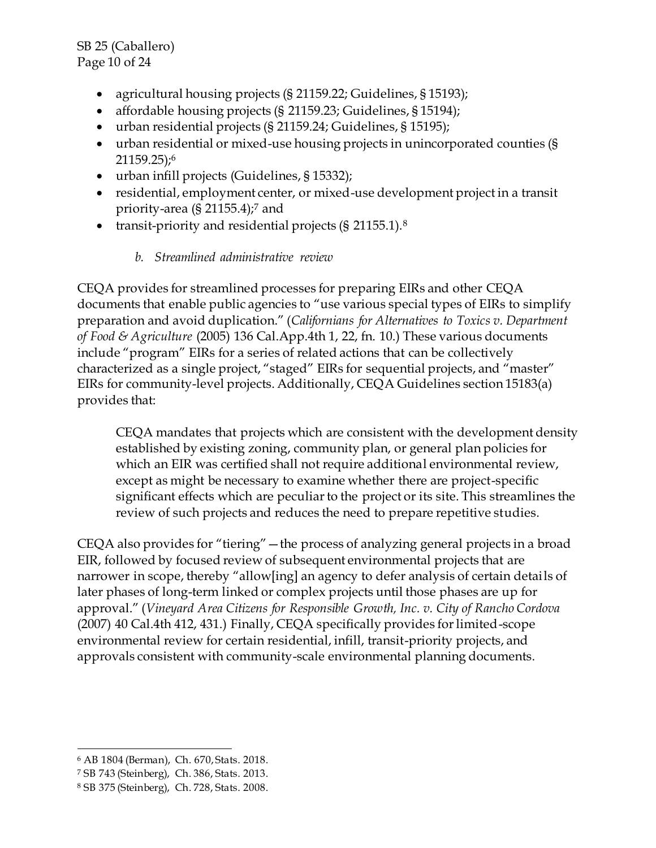SB 25 (Caballero) Page 10 of 24

- agricultural housing projects (§ 21159.22; Guidelines, § 15193);
- affordable housing projects (§ 21159.23; Guidelines, § 15194);
- urban residential projects (§ 21159.24; Guidelines, § 15195);
- urban residential or mixed-use housing projects in unincorporated counties (§ 21159.25);<sup>6</sup>
- urban infill projects (Guidelines, § 15332);
- residential, employment center, or mixed-use development project in a transit priority-area  $(S \, 21155.4)$ ;<sup>7</sup> and
- transit-priority and residential projects  $(§\ 21155.1).$ <sup>8</sup>

## *b. Streamlined administrative review*

CEQA provides for streamlined processes for preparing EIRs and other CEQA documents that enable public agencies to "use various special types of EIRs to simplify preparation and avoid duplication." (*Californians for Alternatives to Toxics v. Department of Food & Agriculture* (2005) 136 Cal.App.4th 1, 22, fn. 10.) These various documents include "program" EIRs for a series of related actions that can be collectively characterized as a single project, "staged" EIRs for sequential projects, and "master" EIRs for community-level projects. Additionally, CEQA Guidelines section 15183(a) provides that:

CEQA mandates that projects which are consistent with the development density established by existing zoning, community plan, or general plan policies for which an EIR was certified shall not require additional environmental review, except as might be necessary to examine whether there are project-specific significant effects which are peculiar to the project or its site. This streamlines the review of such projects and reduces the need to prepare repetitive studies.

CEQA also provides for "tiering"—the process of analyzing general projects in a broad EIR, followed by focused review of subsequent environmental projects that are narrower in scope, thereby "allow[ing] an agency to defer analysis of certain details of later phases of long-term linked or complex projects until those phases are up for approval." (*Vineyard Area Citizens for Responsible Growth, Inc. v. City of Rancho Cordova* (2007) 40 Cal.4th 412, 431.) Finally, CEQA specifically provides for limited-scope environmental review for certain residential, infill, transit-priority projects, and approvals consistent with community-scale environmental planning documents.

 <sup>6</sup> AB 1804 (Berman), Ch. 670, Stats. 2018.

<sup>7</sup> SB 743 (Steinberg), Ch. 386, Stats. 2013.

<sup>8</sup> SB 375 (Steinberg), Ch. 728, Stats. 2008.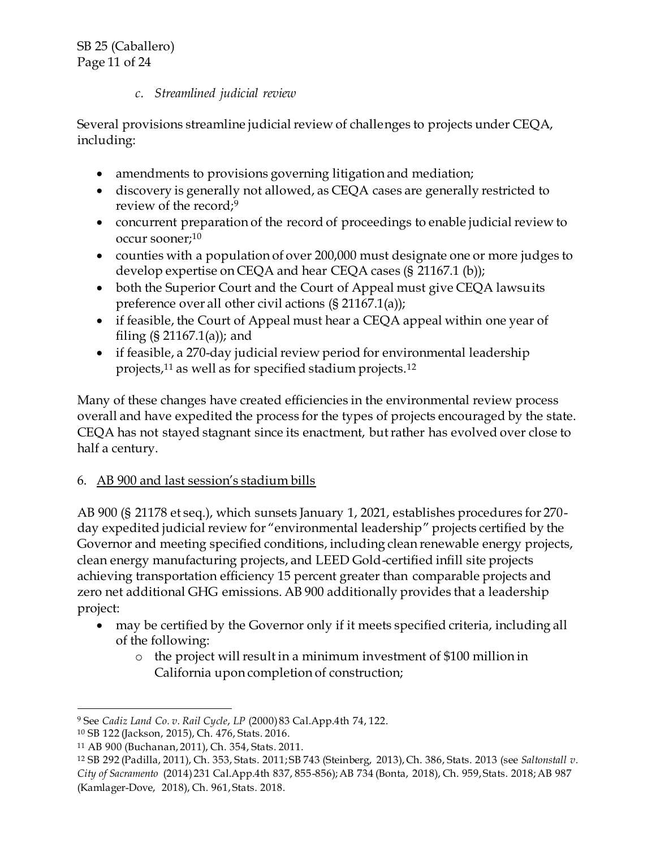## *c. Streamlined judicial review*

Several provisions streamline judicial review of challenges to projects under CEQA, including:

- amendments to provisions governing litigation and mediation;
- discovery is generally not allowed, as CEQA cases are generally restricted to review of the record;<sup>9</sup>
- concurrent preparation of the record of proceedings to enable judicial review to occur sooner;<sup>10</sup>
- counties with a population of over 200,000 must designate one or more judges to develop expertise on CEQA and hear CEQA cases (§ 21167.1 (b));
- both the Superior Court and the Court of Appeal must give CEQA lawsuits preference over all other civil actions (§ 21167.1(a));
- if feasible, the Court of Appeal must hear a CEQA appeal within one year of filing  $(S \ 21167.1(a))$ ; and
- if feasible, a 270-day judicial review period for environmental leadership projects,<sup>11</sup> as well as for specified stadium projects.<sup>12</sup>

Many of these changes have created efficiencies in the environmental review process overall and have expedited the process for the types of projects encouraged by the state. CEQA has not stayed stagnant since its enactment, but rather has evolved over close to half a century.

# 6. AB 900 and last session's stadium bills

AB 900 (§ 21178 et seq.), which sunsets January 1, 2021, establishes procedures for 270 day expedited judicial review for "environmental leadership" projects certified by the Governor and meeting specified conditions, including clean renewable energy projects, clean energy manufacturing projects, and LEED Gold-certified infill site projects achieving transportation efficiency 15 percent greater than comparable projects and zero net additional GHG emissions. AB 900 additionally provides that a leadership project:

- may be certified by the Governor only if it meets specified criteria, including all of the following:
	- o the project will result in a minimum investment of \$100 million in California upon completion of construction;

 <sup>9</sup> See *Cadiz Land Co. v. Rail Cycle*, *LP* (2000) 83 Cal.App.4th 74, 122.

<sup>10</sup> SB 122 (Jackson, 2015), Ch. 476, Stats. 2016.

<sup>11</sup> AB 900 (Buchanan, 2011), Ch. 354, Stats. 2011.

<sup>12</sup> SB 292 (Padilla, 2011), Ch. 353, Stats. 2011; SB 743 (Steinberg, 2013), Ch. 386, Stats. 2013 (see *Saltonstall v. City of Sacramento* (2014) 231 Cal.App.4th 837, 855-856); AB 734 (Bonta, 2018), Ch. 959, Stats. 2018; AB 987 (Kamlager-Dove, 2018), Ch. 961, Stats. 2018.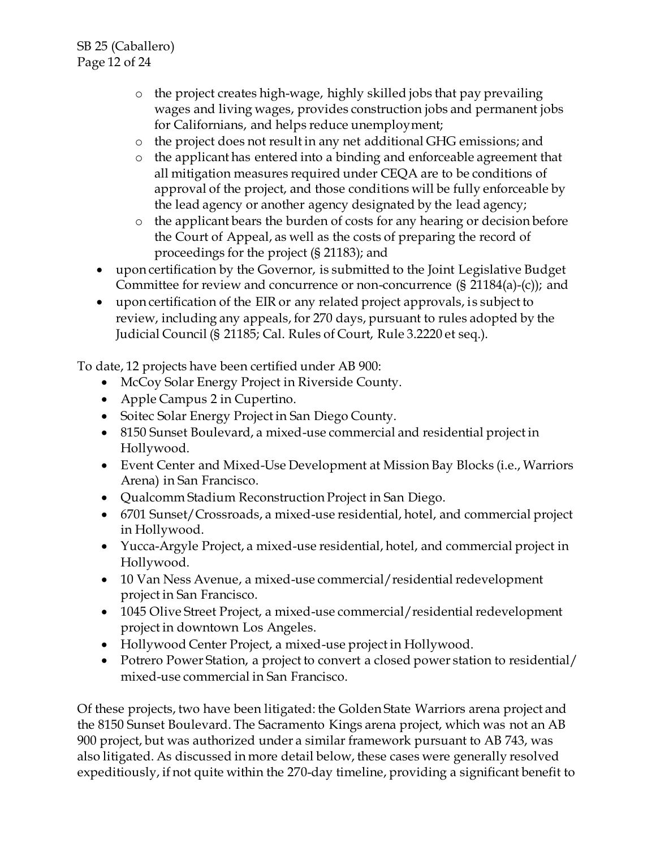- o the project creates high-wage, highly skilled jobs that pay prevailing wages and living wages, provides construction jobs and permanent jobs for Californians, and helps reduce unemployment;
- o the project does not result in any net additional GHG emissions; and
- o the applicant has entered into a binding and enforceable agreement that all mitigation measures required under CEQA are to be conditions of approval of the project, and those conditions will be fully enforceable by the lead agency or another agency designated by the lead agency;
- o the applicant bears the burden of costs for any hearing or decision before the Court of Appeal, as well as the costs of preparing the record of proceedings for the project (§ 21183); and
- upon certification by the Governor, is submitted to the Joint Legislative Budget Committee for review and concurrence or non-concurrence (§ 21184(a)-(c)); and
- upon certification of the EIR or any related project approvals, is subject to review, including any appeals, for 270 days, pursuant to rules adopted by the Judicial Council (§ 21185; Cal. Rules of Court, Rule 3.2220 et seq.).

To date, 12 projects have been certified under AB 900:

- McCoy Solar Energy Project in Riverside County.
- Apple Campus 2 in Cupertino.
- Soitec Solar Energy Project in San Diego County.
- 8150 Sunset Boulevard, a mixed-use commercial and residential project in Hollywood.
- Event Center and Mixed-Use Development at Mission Bay Blocks (i.e., Warriors Arena) in San Francisco.
- Qualcomm Stadium Reconstruction Project in San Diego.
- 6701 Sunset/Crossroads, a mixed-use residential, hotel, and commercial project in Hollywood.
- Yucca-Argyle Project, a mixed-use residential, hotel, and commercial project in Hollywood.
- 10 Van Ness Avenue, a mixed-use commercial/residential redevelopment project in San Francisco.
- 1045 Olive Street Project, a mixed-use commercial/residential redevelopment project in downtown Los Angeles.
- Hollywood Center Project, a mixed-use project in Hollywood.
- Potrero Power Station, a project to convert a closed power station to residential/ mixed-use commercial in San Francisco.

Of these projects, two have been litigated: the Golden State Warriors arena project and the 8150 Sunset Boulevard. The Sacramento Kings arena project, which was not an AB 900 project, but was authorized under a similar framework pursuant to AB 743, was also litigated. As discussed in more detail below, these cases were generally resolved expeditiously, if not quite within the 270-day timeline, providing a significant benefit to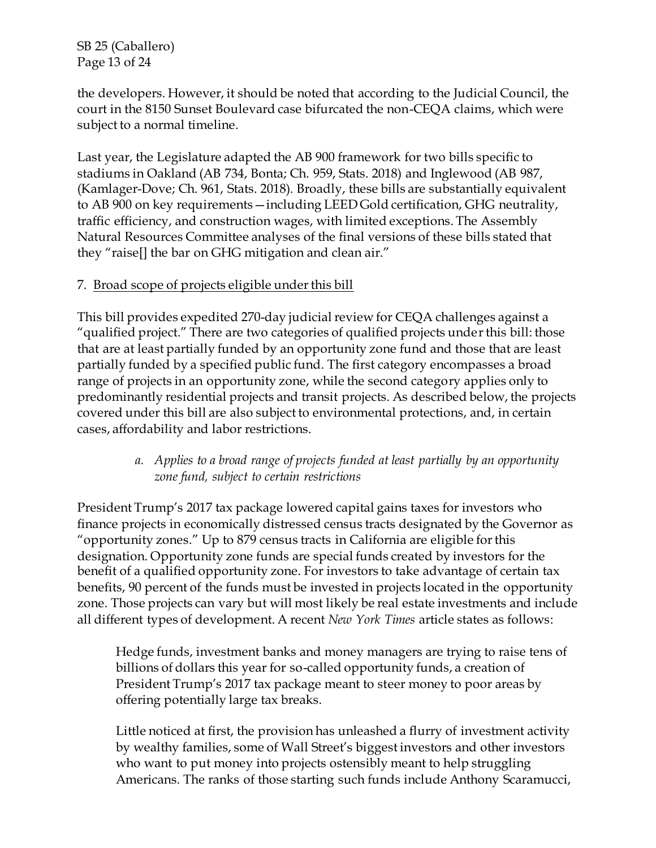SB 25 (Caballero) Page 13 of 24

the developers. However, it should be noted that according to the Judicial Council, the court in the 8150 Sunset Boulevard case bifurcated the non-CEQA claims, which were subject to a normal timeline.

Last year, the Legislature adapted the AB 900 framework for two bills specific to stadiums in Oakland (AB 734, Bonta; Ch. 959, Stats. 2018) and Inglewood (AB 987, (Kamlager-Dove; Ch. 961, Stats. 2018). Broadly, these bills are substantially equivalent to AB 900 on key requirements—including LEED Gold certification, GHG neutrality, traffic efficiency, and construction wages, with limited exceptions. The Assembly Natural Resources Committee analyses of the final versions of these bills stated that they "raise[] the bar on GHG mitigation and clean air."

### 7. Broad scope of projects eligible under this bill

This bill provides expedited 270-day judicial review for CEQA challenges against a "qualified project." There are two categories of qualified projects under this bill: those that are at least partially funded by an opportunity zone fund and those that are least partially funded by a specified public fund. The first category encompasses a broad range of projects in an opportunity zone, while the second category applies only to predominantly residential projects and transit projects. As described below, the projects covered under this bill are also subject to environmental protections, and, in certain cases, affordability and labor restrictions.

### *a. Applies to a broad range of projects funded at least partially by an opportunity zone fund, subject to certain restrictions*

President Trump's 2017 tax package lowered capital gains taxes for investors who finance projects in economically distressed census tracts designated by the Governor as "opportunity zones." Up to 879 census tracts in California are eligible for this designation. Opportunity zone funds are special funds created by investors for the benefit of a qualified opportunity zone. For investors to take advantage of certain tax benefits, 90 percent of the funds must be invested in projects located in the opportunity zone. Those projects can vary but will most likely be real estate investments and include all different types of development. A recent *New York Times* article states as follows:

Hedge funds, investment banks and money managers are trying to raise tens of billions of dollars this year for so-called opportunity funds, a creation of President Trump's 2017 tax package meant to steer money to poor areas by offering potentially large tax breaks.

Little noticed at first, the provision has unleashed a flurry of investment activity by wealthy families, some of Wall Street's biggest investors and other investors who want to put money into projects ostensibly meant to help struggling Americans. The ranks of those starting such funds include Anthony Scaramucci,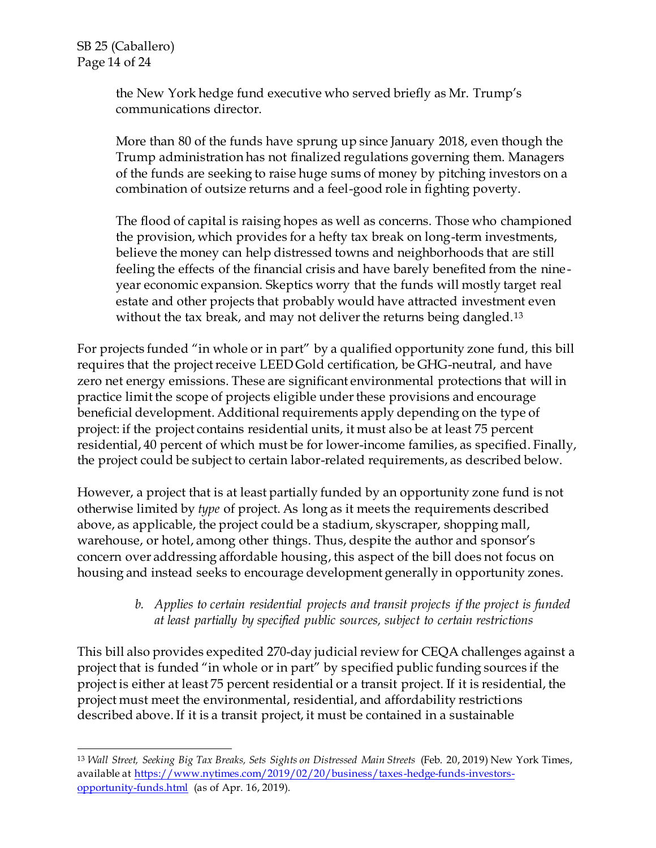the New York hedge fund executive who served briefly as Mr. Trump's communications director.

More than 80 of the funds have sprung up since January 2018, even though the Trump administration has not finalized regulations governing them. Managers of the funds are seeking to raise huge sums of money by pitching investors on a combination of outsize returns and a feel-good role in fighting poverty.

The flood of capital is raising hopes as well as concerns. Those who championed the provision, which provides for a hefty tax break on long-term investments, believe the money can help distressed towns and neighborhoods that are still feeling the effects of the financial crisis and have barely benefited from the nineyear economic expansion. Skeptics worry that the funds will mostly target real estate and other projects that probably would have attracted investment even without the tax break, and may not deliver the returns being dangled.<sup>13</sup>

For projects funded "in whole or in part" by a qualified opportunity zone fund, this bill requires that the project receive LEED Gold certification, be GHG-neutral, and have zero net energy emissions. These are significant environmental protections that will in practice limit the scope of projects eligible under these provisions and encourage beneficial development. Additional requirements apply depending on the type of project: if the project contains residential units, it must also be at least 75 percent residential, 40 percent of which must be for lower-income families, as specified. Finally, the project could be subject to certain labor-related requirements, as described below.

However, a project that is at least partially funded by an opportunity zone fund is not otherwise limited by *type* of project. As long as it meets the requirements described above, as applicable, the project could be a stadium, skyscraper, shopping mall, warehouse, or hotel, among other things. Thus, despite the author and sponsor's concern over addressing affordable housing, this aspect of the bill does not focus on housing and instead seeks to encourage development generally in opportunity zones.

## *b. Applies to certain residential projects and transit projects if the project is funded at least partially by specified public sources, subject to certain restrictions*

This bill also provides expedited 270-day judicial review for CEQA challenges against a project that is funded "in whole or in part" by specified public funding sources if the project is either at least 75 percent residential or a transit project. If it is residential, the project must meet the environmental, residential, and affordability restrictions described above. If it is a transit project, it must be contained in a sustainable

 <sup>13</sup> *Wall Street, Seeking Big Tax Breaks, Sets Sights on Distressed Main Streets* (Feb. 20, 2019) New York Times, available at [https://www.nytimes.com/2019/02/20/business/taxes](https://www.nytimes.com/2019/02/20/business/taxes-hedge-funds-investors-opportunity-funds.html) -hedge-funds-investors[opportunity-funds.html](https://www.nytimes.com/2019/02/20/business/taxes-hedge-funds-investors-opportunity-funds.html) (as of Apr. 16, 2019).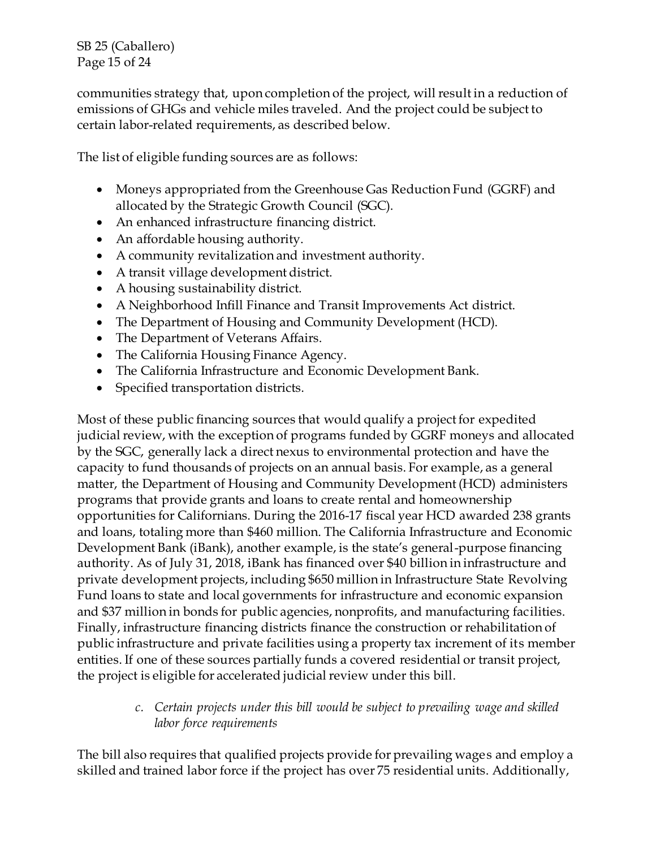SB 25 (Caballero) Page 15 of 24

communities strategy that, upon completion of the project, will result in a reduction of emissions of GHGs and vehicle miles traveled. And the project could be subject to certain labor-related requirements, as described below.

The list of eligible funding sources are as follows:

- Moneys appropriated from the Greenhouse Gas Reduction Fund (GGRF) and allocated by the Strategic Growth Council (SGC).
- An enhanced infrastructure financing district.
- An affordable housing authority.
- A community revitalization and investment authority.
- A transit village development district.
- A housing sustainability district.
- A Neighborhood Infill Finance and Transit Improvements Act district.
- The Department of Housing and Community Development (HCD).
- The Department of Veterans Affairs.
- The California Housing Finance Agency.
- The California Infrastructure and Economic Development Bank.
- Specified transportation districts.

Most of these public financing sources that would qualify a project for expedited judicial review, with the exception of programs funded by GGRF moneys and allocated by the SGC, generally lack a direct nexus to environmental protection and have the capacity to fund thousands of projects on an annual basis. For example, as a general matter, the Department of Housing and Community Development (HCD) administers programs that provide grants and loans to create rental and homeownership opportunities for Californians. During the 2016-17 fiscal year HCD awarded 238 grants and loans, totaling more than \$460 million. The California Infrastructure and Economic Development Bank (iBank), another example, is the state's general-purpose financing authority. As of July 31, 2018, iBank has financed over \$40 billion in infrastructure and private development projects, including \$650 million in Infrastructure State Revolving Fund loans to state and local governments for infrastructure and economic expansion and \$37 million in bonds for public agencies, nonprofits, and manufacturing facilities. Finally, infrastructure financing districts finance the construction or rehabilitation of public infrastructure and private facilities using a property tax increment of its member entities. If one of these sources partially funds a covered residential or transit project, the project is eligible for accelerated judicial review under this bill.

> *c. Certain projects under this bill would be subject to prevailing wage and skilled labor force requirements*

The bill also requires that qualified projects provide for prevailing wages and employ a skilled and trained labor force if the project has over 75 residential units. Additionally,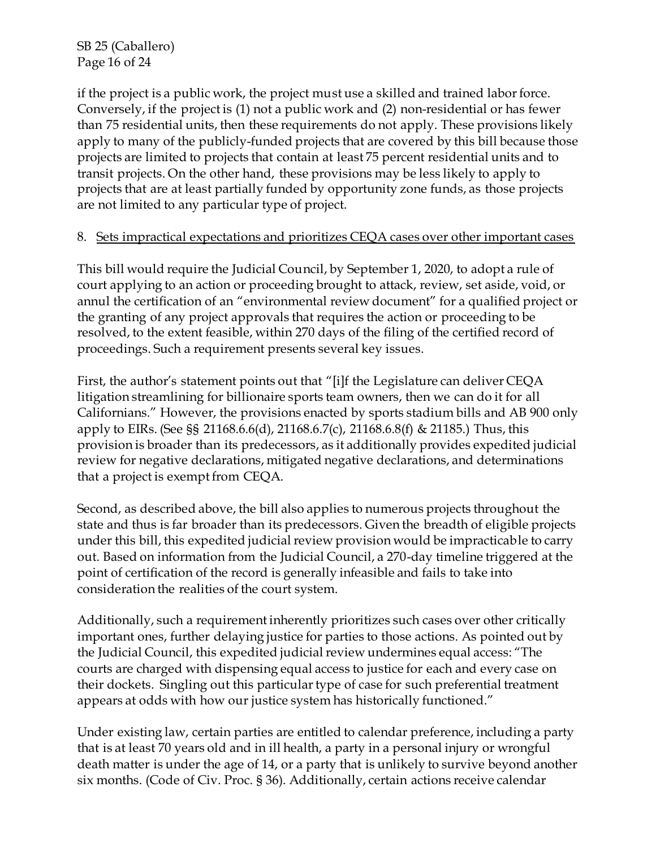SB 25 (Caballero) Page 16 of 24

if the project is a public work, the project must use a skilled and trained labor force. Conversely, if the project is (1) not a public work and (2) non-residential or has fewer than 75 residential units, then these requirements do not apply. These provisions likely apply to many of the publicly-funded projects that are covered by this bill because those projects are limited to projects that contain at least 75 percent residential units and to transit projects. On the other hand, these provisions may be less likely to apply to projects that are at least partially funded by opportunity zone funds, as those projects are not limited to any particular type of project.

### 8. Sets impractical expectations and prioritizes CEQA cases over other important cases

This bill would require the Judicial Council, by September 1, 2020, to adopt a rule of court applying to an action or proceeding brought to attack, review, set aside, void, or annul the certification of an "environmental review document" for a qualified project or the granting of any project approvals that requires the action or proceeding to be resolved, to the extent feasible, within 270 days of the filing of the certified record of proceedings. Such a requirement presents several key issues.

First, the author's statement points out that "[i]f the Legislature can deliver CEQA litigation streamlining for billionaire sports team owners, then we can do it for all Californians." However, the provisions enacted by sports stadium bills and AB 900 only apply to EIRs. (See §§ 21168.6.6(d), 21168.6.7(c), 21168.6.8(f) & 21185.) Thus, this provision is broader than its predecessors, as it additionally provides expedited judicial review for negative declarations, mitigated negative declarations, and determinations that a project is exempt from CEQA.

Second, as described above, the bill also applies to numerous projects throughout the state and thus is far broader than its predecessors. Given the breadth of eligible projects under this bill, this expedited judicial review provision would be impracticable to carry out. Based on information from the Judicial Council, a 270-day timeline triggered at the point of certification of the record is generally infeasible and fails to take into consideration the realities of the court system.

Additionally, such a requirement inherently prioritizes such cases over other critically important ones, further delaying justice for parties to those actions. As pointed out by the Judicial Council, this expedited judicial review undermines equal access: "The courts are charged with dispensing equal access to justice for each and every case on their dockets. Singling out this particular type of case for such preferential treatment appears at odds with how our justice system has historically functioned."

Under existing law, certain parties are entitled to calendar preference, including a party that is at least 70 years old and in ill health, a party in a personal injury or wrongful death matter is under the age of 14, or a party that is unlikely to survive beyond another six months. (Code of Civ. Proc. § 36). Additionally, certain actions receive calendar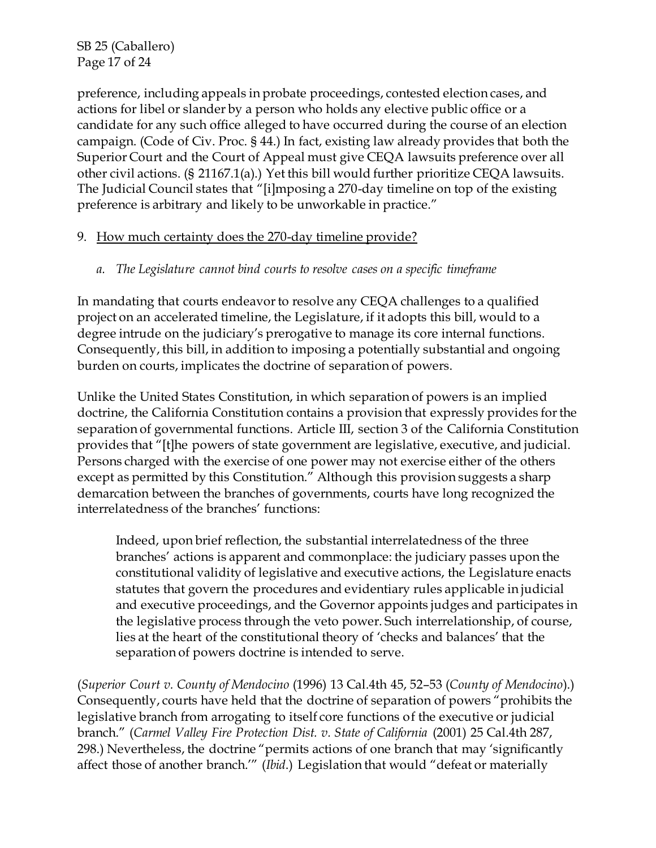SB 25 (Caballero) Page 17 of 24

preference, including appeals in probate proceedings, contested election cases, and actions for libel or slander by a person who holds any elective public office or a candidate for any such office alleged to have occurred during the course of an election campaign. (Code of Civ. Proc. § 44.) In fact, existing law already provides that both the Superior Court and the Court of Appeal must give CEQA lawsuits preference over all other civil actions. (§ 21167.1(a).) Yet this bill would further prioritize CEQA lawsuits. The Judicial Council states that "[i]mposing a 270-day timeline on top of the existing preference is arbitrary and likely to be unworkable in practice."

### 9. How much certainty does the 270-day timeline provide?

*a. The Legislature cannot bind courts to resolve cases on a specific timeframe*

In mandating that courts endeavor to resolve any CEQA challenges to a qualified project on an accelerated timeline, the Legislature, if it adopts this bill, would to a degree intrude on the judiciary's prerogative to manage its core internal functions. Consequently, this bill, in addition to imposing a potentially substantial and ongoing burden on courts, implicates the doctrine of separation of powers.

Unlike the United States Constitution, in which separation of powers is an implied doctrine, the California Constitution contains a provision that expressly provides for the separation of governmental functions. Article III, section 3 of the California Constitution provides that "[t]he powers of state government are legislative, executive, and judicial. Persons charged with the exercise of one power may not exercise either of the others except as permitted by this Constitution." Although this provision suggests a sharp demarcation between the branches of governments, courts have long recognized the interrelatedness of the branches' functions:

Indeed, upon brief reflection, the substantial interrelatedness of the three branches' actions is apparent and commonplace: the judiciary passes upon the constitutional validity of legislative and executive actions, the Legislature enacts statutes that govern the procedures and evidentiary rules applicable in judicial and executive proceedings, and the Governor appoints judges and participates in the legislative process through the veto power. Such interrelationship, of course, lies at the heart of the constitutional theory of 'checks and balances' that the separation of powers doctrine is intended to serve.

(*Superior Court v. County of Mendocino* (1996) 13 Cal.4th 45, 52–53 (*County of Mendocino*).) Consequently, courts have held that the doctrine of separation of powers "prohibits the legislative branch from arrogating to itself core functions of the executive or judicial branch." (*Carmel Valley Fire Protection Dist. v. State of California* (2001) 25 Cal.4th 287, 298.) Nevertheless, the doctrine "permits actions of one branch that may 'significantly affect those of another branch.'" (*Ibid*.) Legislation that would "defeat or materially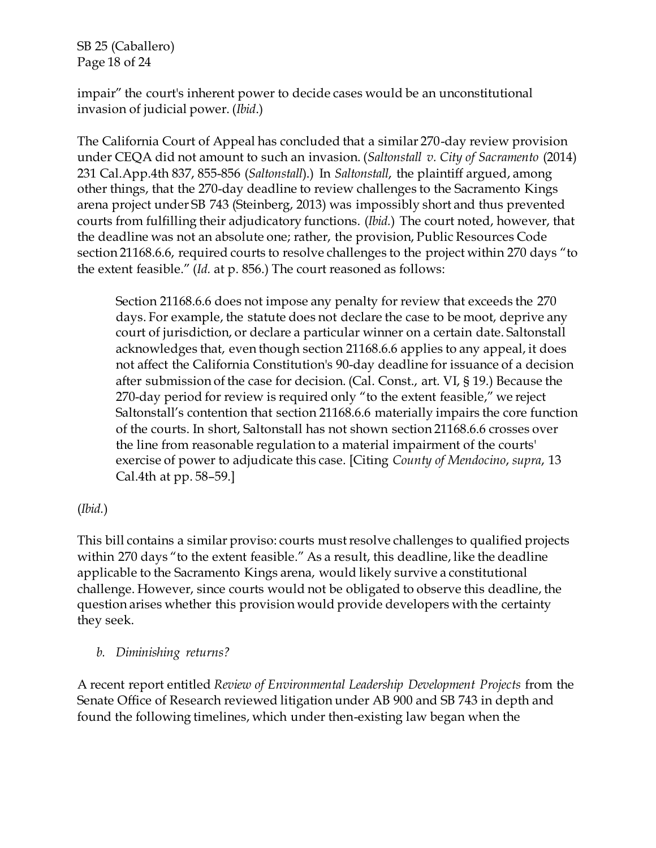SB 25 (Caballero) Page 18 of 24

impair" the court's inherent power to decide cases would be an unconstitutional invasion of judicial power. (*Ibid*.)

The California Court of Appeal has concluded that a similar 270-day review provision under CEQA did not amount to such an invasion. (*Saltonstall v. City of Sacramento* (2014) 231 Cal.App.4th 837, 855-856 (*Saltonstall*).) In *Saltonstall*, the plaintiff argued, among other things, that the 270-day deadline to review challenges to the Sacramento Kings arena project under SB 743 (Steinberg, 2013) was impossibly short and thus prevented courts from fulfilling their adjudicatory functions. (*Ibid.*) The court noted, however, that the deadline was not an absolute one; rather, the provision, Public Resources Code section 21168.6.6, required courts to resolve challenges to the project within 270 days "to the extent feasible." (*Id.* at p. 856.) The court reasoned as follows:

Section 21168.6.6 does not impose any penalty for review that exceeds the 270 days. For example, the statute does not declare the case to be moot, deprive any court of jurisdiction, or declare a particular winner on a certain date. Saltonstall acknowledges that, even though section 21168.6.6 applies to any appeal, it does not affect the California Constitution's 90-day deadline for issuance of a decision after submission of the case for decision. (Cal. Const., art. VI, § 19.) Because the 270-day period for review is required only "to the extent feasible," we reject Saltonstall's contention that section 21168.6.6 materially impairs the core function of the courts. In short, Saltonstall has not shown section 21168.6.6 crosses over the line from reasonable regulation to a material impairment of the courts' exercise of power to adjudicate this case. [Citing *County of Mendocino*, *supra*, 13 Cal.4th at pp. 58–59.]

(*Ibid.*)

This bill contains a similar proviso: courts must resolve challenges to qualified projects within 270 days "to the extent feasible." As a result, this deadline, like the deadline applicable to the Sacramento Kings arena, would likely survive a constitutional challenge. However, since courts would not be obligated to observe this deadline, the question arises whether this provision would provide developers with the certainty they seek.

*b. Diminishing returns?*

A recent report entitled *Review of Environmental Leadership Development Projects* from the Senate Office of Research reviewed litigation under AB 900 and SB 743 in depth and found the following timelines, which under then-existing law began when the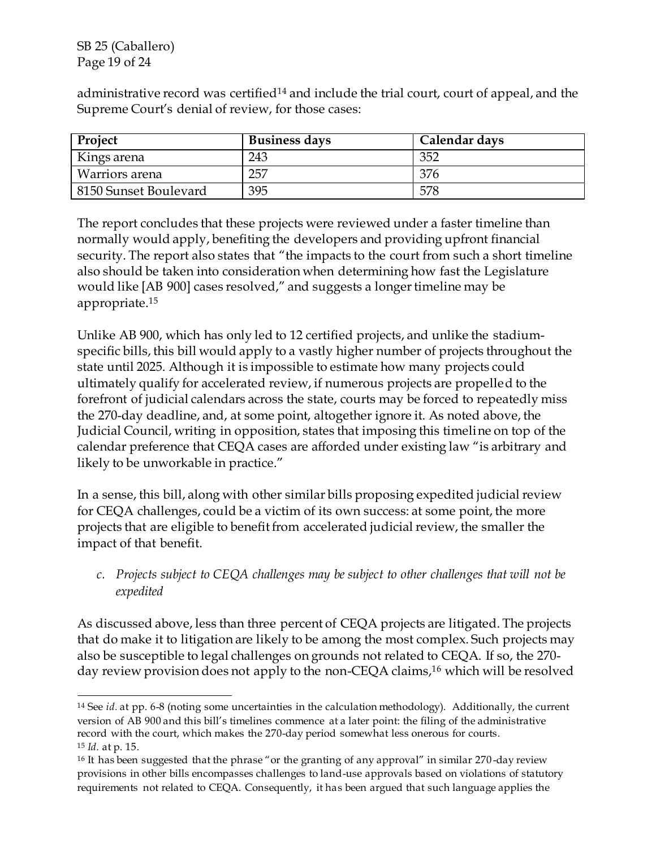SB 25 (Caballero) Page 19 of 24

administrative record was certified<sup>14</sup> and include the trial court, court of appeal, and the Supreme Court's denial of review, for those cases:

| Project               | <b>Business days</b> | Calendar days |
|-----------------------|----------------------|---------------|
| Kings arena           | 243                  | 352           |
| Warriors arena        | 257                  | 376           |
| 8150 Sunset Boulevard | 395                  |               |

The report concludes that these projects were reviewed under a faster timeline than normally would apply, benefiting the developers and providing upfront financial security. The report also states that "the impacts to the court from such a short timeline also should be taken into consideration when determining how fast the Legislature would like [AB 900] cases resolved," and suggests a longer timeline may be appropriate.<sup>15</sup>

Unlike AB 900, which has only led to 12 certified projects, and unlike the stadiumspecific bills, this bill would apply to a vastly higher number of projects throughout the state until 2025. Although it is impossible to estimate how many projects could ultimately qualify for accelerated review, if numerous projects are propelled to the forefront of judicial calendars across the state, courts may be forced to repeatedly miss the 270-day deadline, and, at some point, altogether ignore it. As noted above, the Judicial Council, writing in opposition, states that imposing this timeline on top of the calendar preference that CEQA cases are afforded under existing law "is arbitrary and likely to be unworkable in practice."

In a sense, this bill, along with other similar bills proposing expedited judicial review for CEQA challenges, could be a victim of its own success: at some point, the more projects that are eligible to benefit from accelerated judicial review, the smaller the impact of that benefit.

*c. Projects subject to CEQA challenges may be subject to other challenges that will not be expedited*

As discussed above, less than three percent of CEQA projects are litigated. The projects that do make it to litigation are likely to be among the most complex. Such projects may also be susceptible to legal challenges on grounds not related to CEQA. If so, the 270 day review provision does not apply to the non-CEQA claims,<sup>16</sup> which will be resolved

<sup>14</sup> See *id.* at pp. 6-8 (noting some uncertainties in the calculation methodology). Additionally, the current version of AB 900 and this bill's timelines commence at a later point: the filing of the administrative record with the court, which makes the 270-day period somewhat less onerous for courts. <sup>15</sup> *Id.* at p. 15.

<sup>&</sup>lt;sup>16</sup> It has been suggested that the phrase "or the granting of any approval" in similar 270-day review provisions in other bills encompasses challenges to land-use approvals based on violations of statutory requirements not related to CEQA. Consequently, it has been argued that such language applies the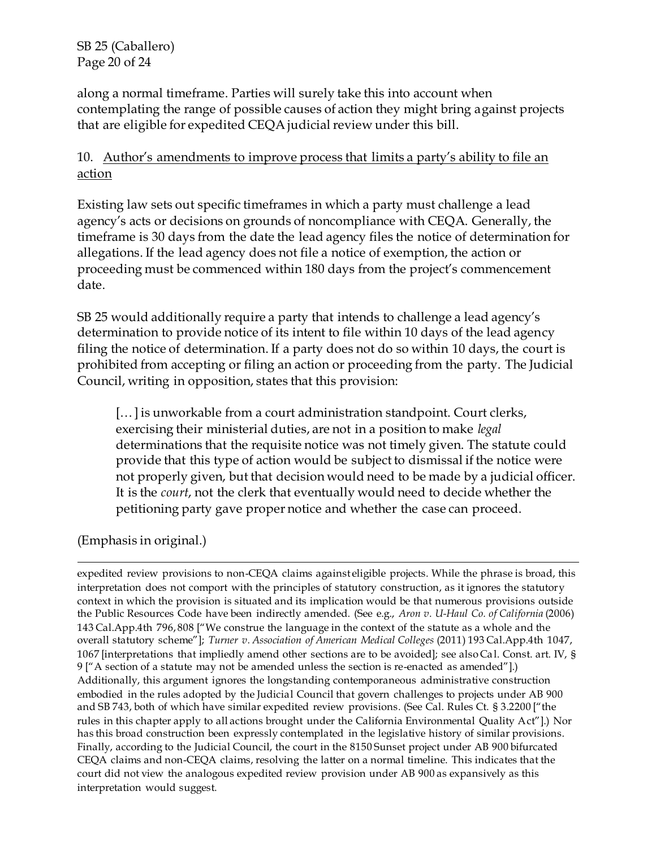SB 25 (Caballero) Page 20 of 24

along a normal timeframe. Parties will surely take this into account when contemplating the range of possible causes of action they might bring against projects that are eligible for expedited CEQA judicial review under this bill.

## 10. Author's amendments to improve process that limits a party's ability to file an action

Existing law sets out specific timeframes in which a party must challenge a lead agency's acts or decisions on grounds of noncompliance with CEQA. Generally, the timeframe is 30 days from the date the lead agency files the notice of determination for allegations. If the lead agency does not file a notice of exemption, the action or proceeding must be commenced within 180 days from the project's commencement date.

SB 25 would additionally require a party that intends to challenge a lead agency's determination to provide notice of its intent to file within 10 days of the lead agency filing the notice of determination. If a party does not do so within 10 days, the court is prohibited from accepting or filing an action or proceeding from the party. The Judicial Council, writing in opposition, states that this provision:

[...] is unworkable from a court administration standpoint. Court clerks, exercising their ministerial duties, are not in a position to make *legal*  determinations that the requisite notice was not timely given. The statute could provide that this type of action would be subject to dismissal if the notice were not properly given, but that decision would need to be made by a judicial officer. It is the *court*, not the clerk that eventually would need to decide whether the petitioning party gave proper notice and whether the case can proceed.

(Emphasis in original.)

l expedited review provisions to non-CEQA claims against eligible projects. While the phrase is broad, this interpretation does not comport with the principles of statutory construction, as it ignores the statutory context in which the provision is situated and its implication would be that numerous provisions outside the Public Resources Code have been indirectly amended. (See e.g., *Aron v. U-Haul Co. of California* (2006) 143 Cal.App.4th 796, 808 ["We construe the language in the context of the statute as a whole and the overall statutory scheme"]; *Turner v. Association of American Medical Colleges* (2011) 193 Cal.App.4th 1047, 1067 [interpretations that impliedly amend other sections are to be avoided]; see also Ca l. Const. art. IV, § 9 ["A section of a statute may not be amended unless the section is re-enacted as amended"].) Additionally, this argument ignores the longstanding contemporaneous administrative construction embodied in the rules adopted by the Judicial Council that govern challenges to projects under AB 900 and SB 743, both of which have similar expedited review provisions. (See Cal. Rules Ct. § 3.2200 ["the rules in this chapter apply to all actions brought under the California Environmental Quality Act"].) Nor has this broad construction been expressly contemplated in the legislative history of similar provisions. Finally, according to the Judicial Council, the court in the 8150 Sunset project under AB 900 bifurcated CEQA claims and non-CEQA claims, resolving the latter on a normal timeline. This indicates that the court did not view the analogous expedited review provision under AB 900 as expansively as this interpretation would suggest.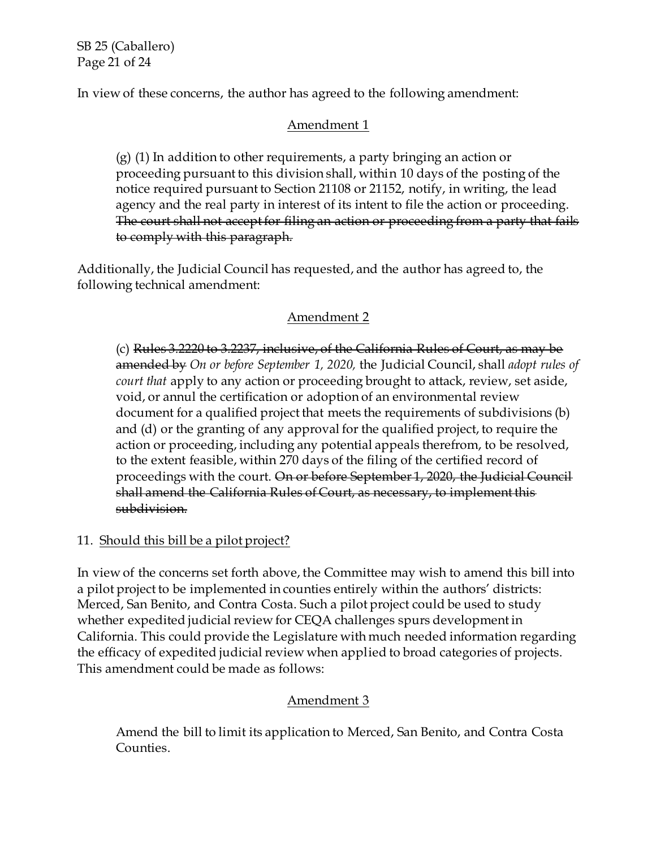SB 25 (Caballero) Page 21 of 24

In view of these concerns, the author has agreed to the following amendment:

## Amendment 1

(g) (1) In addition to other requirements, a party bringing an action or proceeding pursuant to this division shall, within 10 days of the posting of the notice required pursuant to Section 21108 or 21152, notify, in writing, the lead agency and the real party in interest of its intent to file the action or proceeding. The court shall not accept for filing an action or proceeding from a party that fails to comply with this paragraph.

Additionally, the Judicial Council has requested, and the author has agreed to, the following technical amendment:

# Amendment 2

(c) Rules 3.2220 to 3.2237, inclusive, of the California Rules of Court, as may be amended by *On or before September 1, 2020,* the Judicial Council, shall *adopt rules of court that* apply to any action or proceeding brought to attack, review, set aside, void, or annul the certification or adoption of an environmental review document for a qualified project that meets the requirements of subdivisions (b) and (d) or the granting of any approval for the qualified project, to require the action or proceeding, including any potential appeals therefrom, to be resolved, to the extent feasible, within 270 days of the filing of the certified record of proceedings with the court. On or before September 1, 2020, the Judicial Council shall amend the California Rules of Court, as necessary, to implement this subdivision.

# 11. Should this bill be a pilot project?

In view of the concerns set forth above, the Committee may wish to amend this bill into a pilot project to be implemented in counties entirely within the authors' districts: Merced, San Benito, and Contra Costa. Such a pilot project could be used to study whether expedited judicial review for CEQA challenges spurs development in California. This could provide the Legislature with much needed information regarding the efficacy of expedited judicial review when applied to broad categories of projects. This amendment could be made as follows:

# Amendment 3

Amend the bill to limit its application to Merced, San Benito, and Contra Costa Counties.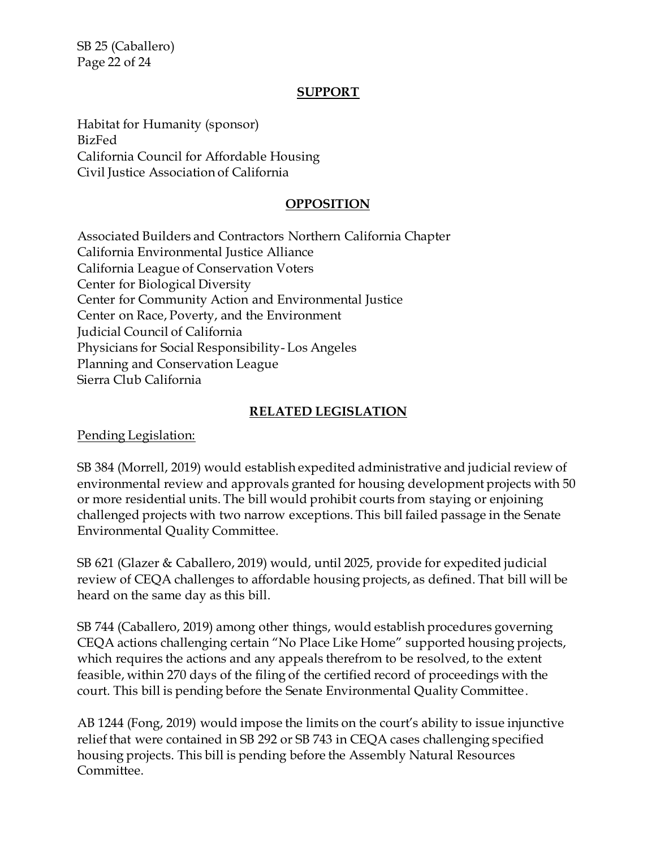SB 25 (Caballero) Page 22 of 24

### **SUPPORT**

Habitat for Humanity (sponsor) BizFed California Council for Affordable Housing Civil Justice Association of California

### **OPPOSITION**

Associated Builders and Contractors Northern California Chapter California Environmental Justice Alliance California League of Conservation Voters Center for Biological Diversity Center for Community Action and Environmental Justice Center on Race, Poverty, and the Environment Judicial Council of California Physicians for Social Responsibility- Los Angeles Planning and Conservation League Sierra Club California

### **RELATED LEGISLATION**

Pending Legislation:

SB 384 (Morrell, 2019) would establish expedited administrative and judicial review of environmental review and approvals granted for housing development projects with 50 or more residential units. The bill would prohibit courts from staying or enjoining challenged projects with two narrow exceptions. This bill failed passage in the Senate Environmental Quality Committee.

SB 621 (Glazer & Caballero, 2019) would, until 2025, provide for expedited judicial review of CEQA challenges to affordable housing projects, as defined. That bill will be heard on the same day as this bill.

SB 744 (Caballero, 2019) among other things, would establish procedures governing CEQA actions challenging certain "No Place Like Home" supported housing projects, which requires the actions and any appeals therefrom to be resolved, to the extent feasible, within 270 days of the filing of the certified record of proceedings with the court. This bill is pending before the Senate Environmental Quality Committee.

AB 1244 (Fong, 2019) would impose the limits on the court's ability to issue injunctive relief that were contained in SB 292 or SB 743 in CEQA cases challenging specified housing projects. This bill is pending before the Assembly Natural Resources Committee.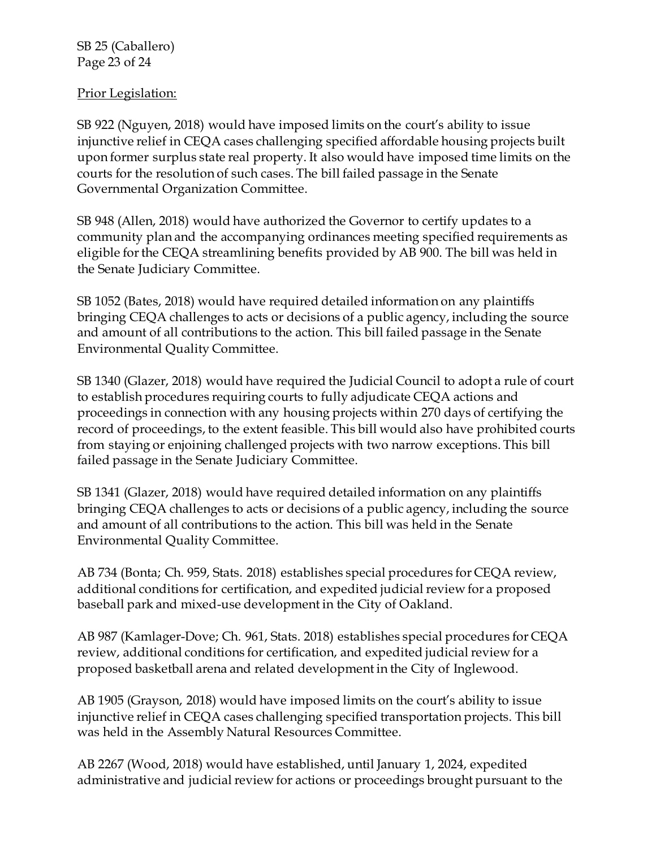SB 25 (Caballero) Page 23 of 24

### Prior Legislation:

SB 922 (Nguyen, 2018) would have imposed limits on the court's ability to issue injunctive relief in CEQA cases challenging specified affordable housing projects built upon former surplus state real property. It also would have imposed time limits on the courts for the resolution of such cases. The bill failed passage in the Senate Governmental Organization Committee.

SB 948 (Allen, 2018) would have authorized the Governor to certify updates to a community plan and the accompanying ordinances meeting specified requirements as eligible for the CEQA streamlining benefits provided by AB 900. The bill was held in the Senate Judiciary Committee.

SB 1052 (Bates, 2018) would have required detailed information on any plaintiffs bringing CEQA challenges to acts or decisions of a public agency, including the source and amount of all contributions to the action. This bill failed passage in the Senate Environmental Quality Committee.

SB 1340 (Glazer, 2018) would have required the Judicial Council to adopt a rule of court to establish procedures requiring courts to fully adjudicate CEQA actions and proceedings in connection with any housing projects within 270 days of certifying the record of proceedings, to the extent feasible. This bill would also have prohibited courts from staying or enjoining challenged projects with two narrow exceptions. This bill failed passage in the Senate Judiciary Committee.

SB 1341 (Glazer, 2018) would have required detailed information on any plaintiffs bringing CEQA challenges to acts or decisions of a public agency, including the source and amount of all contributions to the action. This bill was held in the Senate Environmental Quality Committee.

AB 734 (Bonta; Ch. 959, Stats. 2018) establishes special procedures for CEQA review, additional conditions for certification, and expedited judicial review for a proposed baseball park and mixed-use development in the City of Oakland.

AB 987 (Kamlager-Dove; Ch. 961, Stats. 2018) establishes special procedures for CEQA review, additional conditions for certification, and expedited judicial review for a proposed basketball arena and related development in the City of Inglewood.

AB 1905 (Grayson, 2018) would have imposed limits on the court's ability to issue injunctive relief in CEQA cases challenging specified transportation projects. This bill was held in the Assembly Natural Resources Committee.

AB 2267 (Wood, 2018) would have established, until January 1, 2024, expedited administrative and judicial review for actions or proceedings brought pursuant to the